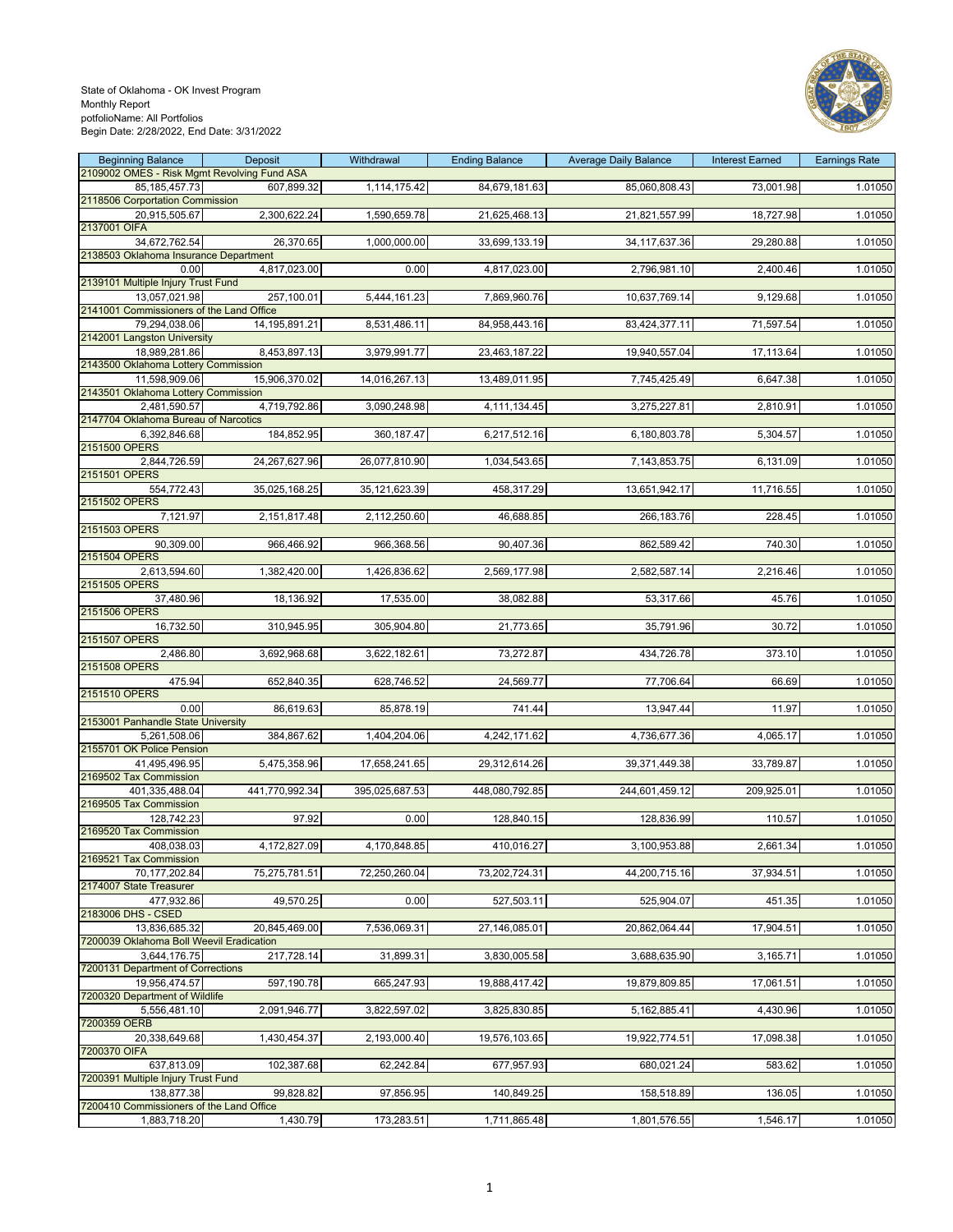

| <b>Beginning Balance</b><br>2109002 OMES - Risk Mgmt Revolving Fund ASA | Deposit          | Withdrawal       | <b>Ending Balance</b> | <b>Average Daily Balance</b> | <b>Interest Earned</b> | <b>Earnings Rate</b> |
|-------------------------------------------------------------------------|------------------|------------------|-----------------------|------------------------------|------------------------|----------------------|
| 85, 185, 457. 73                                                        | 607,899.32       | 1,114,175.42     | 84,679,181.63         | 85,060,808.43                | 73,001.98              | 1.01050              |
| 2118506 Corportation Commission                                         |                  |                  |                       |                              |                        |                      |
| 20,915,505.67                                                           | 2,300,622.24     | 1,590,659.78     | 21,625,468.13         | 21,821,557.99                | 18,727.98              | 1.01050              |
| 2137001 OIFA<br>34,672,762.54                                           | 26,370.65        | 1,000,000.00     | 33,699,133.19         | 34, 117, 637. 36             | 29,280.88              | 1.01050              |
| 2138503 Oklahoma Insurance Department                                   |                  |                  |                       |                              |                        |                      |
| 0.00                                                                    | 4,817,023.00     | 0.00             | 4,817,023.00          | 2,796,981.10                 | 2,400.46               | 1.01050              |
| 2139101 Multiple Injury Trust Fund<br>13,057,021.98                     | 257,100.01       | 5,444,161.23     | 7,869,960.76          | 10,637,769.14                | 9,129.68               | 1.01050              |
| 2141001 Commissioners of the Land Office                                |                  |                  |                       |                              |                        |                      |
| 79,294,038.06                                                           | 14, 195, 891. 21 | 8,531,486.11     | 84,958,443.16         | 83,424,377.11                | 71,597.54              | 1.01050              |
| 2142001 Langston University                                             |                  |                  |                       |                              |                        |                      |
| 18,989,281.86<br>2143500 Oklahoma Lottery Commission                    | 8,453,897.13     | 3,979,991.77     | 23,463,187.22         | 19,940,557.04                | 17,113.64              | 1.01050              |
| 11,598,909.06                                                           | 15,906,370.02    | 14,016,267.13    | 13,489,011.95         | 7,745,425.49                 | 6,647.38               | 1.01050              |
| 2143501 Oklahoma Lottery Commission                                     |                  |                  |                       |                              |                        |                      |
| 2,481,590.57<br>2147704 Oklahoma Bureau of Narcotics                    | 4,719,792.86     | 3,090,248.98     | 4,111,134.45          | 3,275,227.81                 | 2,810.91               | 1.01050              |
| 6,392,846.68                                                            | 184,852.95       | 360, 187.47      | 6,217,512.16          | 6,180,803.78                 | 5,304.57               | 1.01050              |
| 2151500 OPERS                                                           |                  |                  |                       |                              |                        |                      |
| 2,844,726.59<br>2151501 OPERS                                           | 24,267,627.96    | 26,077,810.90    | 1,034,543.65          | 7,143,853.75                 | 6,131.09               | 1.01050              |
| 554,772.43                                                              | 35,025,168.25    | 35, 121, 623. 39 | 458,317.29            | 13,651,942.17                | 11,716.55              | 1.01050              |
| 2151502 OPERS                                                           |                  |                  |                       |                              |                        |                      |
| 7,121.97                                                                | 2,151,817.48     | 2,112,250.60     | 46,688.85             | 266,183.76                   | 228.45                 | 1.01050              |
| 2151503 OPERS<br>90,309.00                                              | 966,466.92       | 966,368.56       | 90,407.36             | 862,589.42                   | 740.30                 | 1.01050              |
| 2151504 OPERS                                                           |                  |                  |                       |                              |                        |                      |
| 2,613,594.60                                                            | 1,382,420.00     | 1,426,836.62     | 2,569,177.98          | 2,582,587.14                 | 2,216.46               | 1.01050              |
| 2151505 OPERS                                                           |                  |                  |                       |                              |                        |                      |
| 37,480.96<br>2151506 OPERS                                              | 18,136.92        | 17,535.00        | 38,082.88             | 53,317.66                    | 45.76                  | 1.01050              |
| 16,732.50                                                               | 310,945.95       | 305,904.80       | 21,773.65             | 35,791.96                    | 30.72                  | 1.01050              |
| 2151507 OPERS                                                           |                  |                  |                       |                              |                        |                      |
| 2,486.80<br>2151508 OPERS                                               | 3,692,968.68     | 3,622,182.61     | 73,272.87             | 434,726.78                   | 373.10                 | 1.01050              |
| 475.94                                                                  | 652,840.35       | 628,746.52       | 24,569.77             | 77,706.64                    | 66.69                  | 1.01050              |
| 2151510 OPERS                                                           |                  |                  |                       |                              |                        |                      |
| 0.00<br>2153001 Panhandle State University                              | 86,619.63        | 85,878.19        | 741.44                | 13,947.44                    | 11.97                  | 1.01050              |
| 5,261,508.06                                                            | 384,867.62       | 1,404,204.06     | 4,242,171.62          | 4,736,677.36                 | 4,065.17               | 1.01050              |
| 2155701 OK Police Pension                                               |                  |                  |                       |                              |                        |                      |
| 41,495,496.95                                                           | 5,475,358.96     | 17,658,241.65    | 29,312,614.26         | 39,371,449.38                | 33,789.87              | 1.01050              |
| 2169502 Tax Commission<br>401,335,488.04                                | 441,770,992.34   | 395,025,687.53   | 448,080,792.85        | 244,601,459.12               | 209,925.01             | 1.01050              |
| 2169505 Tax Commission                                                  |                  |                  |                       |                              |                        |                      |
| 128,742.23                                                              | 97.92            | 0.00             | 128,840.15            | 128,836.99                   | 110.57                 | 1.01050              |
| 2169520 Tax Commission                                                  | 4,172,827.09     | 4,170,848.85     | 410,016.27            | 3,100,953.88                 | 2,661.34               | 1.01050              |
| 408,038.03<br>2169521 Tax Commission                                    |                  |                  |                       |                              |                        |                      |
| 70,177,202.84                                                           | 75,275,781.51    | 72,250,260.04    | 73,202,724.31         | 44,200,715.16                | 37,934.51              | 1.01050              |
| 2174007 State Treasurer                                                 | 49,570.25        | 0.00             | 527,503.11            |                              |                        |                      |
| 477,932.86<br>2183006 DHS - CSED                                        |                  |                  |                       | 525,904.07                   | 451.35                 | 1.01050              |
| 13.836.685.32                                                           | 20,845,469.00    | 7,536,069.31     | 27,146,085.01         | 20,862,064.44                | 17,904.51              | 1.01050              |
| 7200039 Oklahoma Boll Weevil Eradication                                |                  |                  |                       |                              |                        |                      |
| 3,644,176.75<br>7200131 Department of Corrections                       | 217,728.14       | 31,899.31        | 3,830,005.58          | 3,688,635.90                 | 3,165.71               | 1.01050              |
| 19,956,474.57                                                           | 597,190.78       | 665,247.93       | 19,888,417.42         | 19,879,809.85                | 17,061.51              | 1.01050              |
| 7200320 Department of Wildlife                                          |                  |                  |                       |                              |                        |                      |
| 5,556,481.10<br>7200359 OERB                                            | 2,091,946.77     | 3,822,597.02     | 3,825,830.85          | 5,162,885.41                 | 4,430.96               | 1.01050              |
| 20,338,649.68                                                           | 1,430,454.37     | 2,193,000.40     | 19,576,103.65         | 19,922,774.51                | 17,098.38              | 1.01050              |
| 7200370 OIFA                                                            |                  |                  |                       |                              |                        |                      |
| 637,813.09                                                              | 102,387.68       | 62,242.84        | 677,957.93            | 680,021.24                   | 583.62                 | 1.01050              |
| 7200391 Multiple Injury Trust Fund<br>138,877.38                        | 99,828.82        | 97,856.95        | 140,849.25            | 158,518.89                   | 136.05                 | 1.01050              |
| 7200410 Commissioners of the Land Office                                |                  |                  |                       |                              |                        |                      |
| 1,883,718.20                                                            | 1,430.79         | 173,283.51       | 1,711,865.48          | 1,801,576.55                 | 1,546.17               | 1.01050              |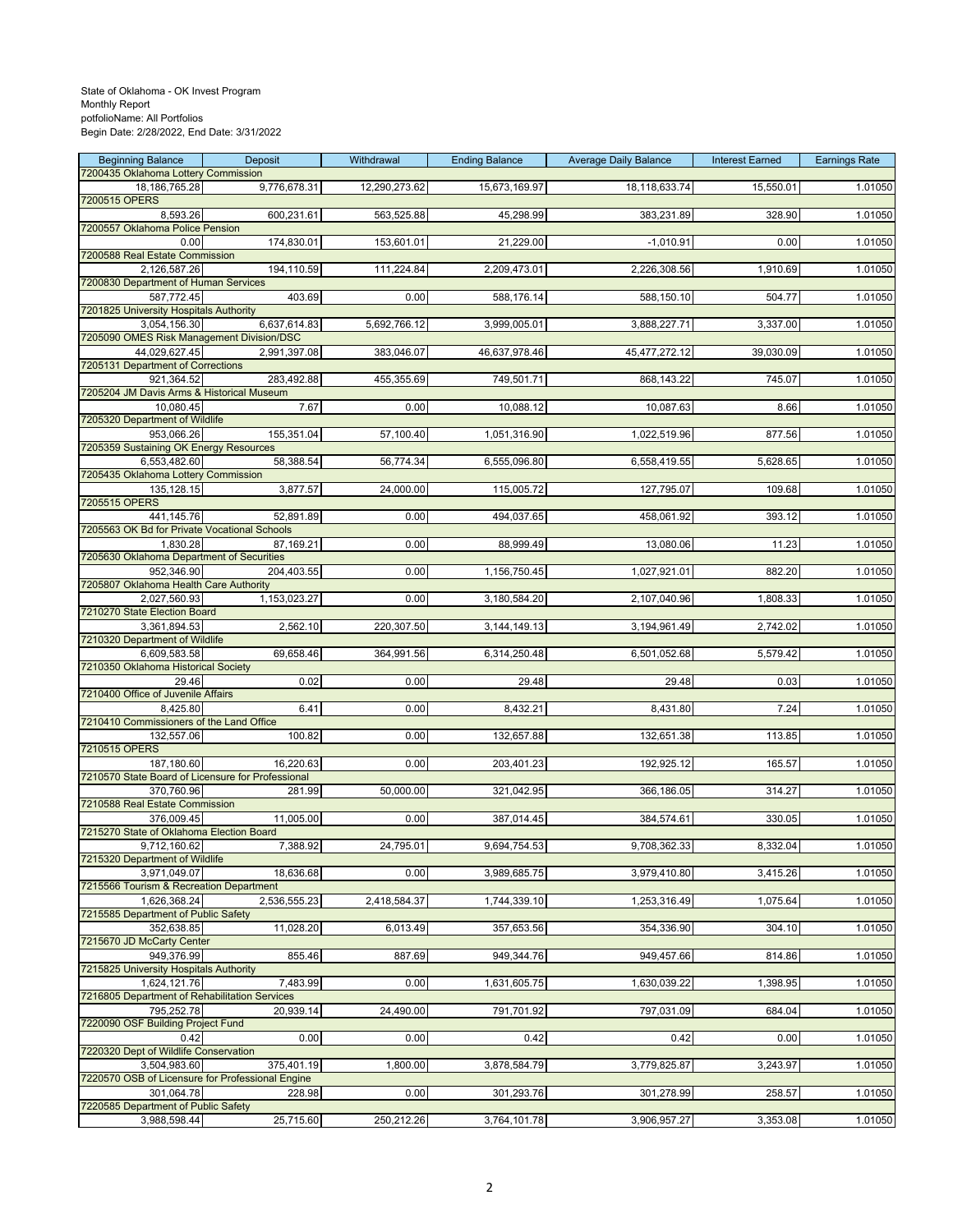| <b>Beginning Balance</b>                                        | Deposit      | Withdrawal    | <b>Ending Balance</b> | <b>Average Daily Balance</b> | <b>Interest Earned</b> | <b>Earnings Rate</b> |
|-----------------------------------------------------------------|--------------|---------------|-----------------------|------------------------------|------------------------|----------------------|
| 7200435 Oklahoma Lottery Commission<br>18, 186, 765. 28         | 9,776,678.31 | 12,290,273.62 | 15,673,169.97         | 18,118,633.74                | 15,550.01              | 1.01050              |
| 7200515 OPERS                                                   |              |               |                       |                              |                        |                      |
| 8,593.26                                                        | 600,231.61   | 563,525.88    | 45,298.99             | 383,231.89                   | 328.90                 | 1.01050              |
| 7200557 Oklahoma Police Pension<br>0.00                         | 174,830.01   | 153,601.01    | 21,229.00             | $-1,010.91$                  | 0.00                   | 1.01050              |
| 7200588 Real Estate Commission                                  |              |               |                       |                              |                        |                      |
| 2,126,587.26                                                    | 194,110.59   | 111,224.84    | 2,209,473.01          | 2,226,308.56                 | 1,910.69               | 1.01050              |
| 7200830 Department of Human Services<br>587,772.45              | 403.69       | 0.00          | 588,176.14            | 588,150.10                   | 504.77                 | 1.01050              |
| 7201825 University Hospitals Authority                          |              |               |                       |                              |                        |                      |
| 3,054,156.30<br>7205090 OMES Risk Management Division/DSC       | 6,637,614.83 | 5,692,766.12  | 3,999,005.01          | 3,888,227.71                 | 3,337.00               | 1.01050              |
| 44,029,627.45                                                   | 2,991,397.08 | 383,046.07    | 46,637,978.46         | 45,477,272.12                | 39,030.09              | 1.01050              |
| 7205131 Department of Corrections                               |              |               |                       |                              |                        |                      |
| 921,364.52<br>7205204 JM Davis Arms & Historical Museum         | 283,492.88   | 455,355.69    | 749,501.71            | 868,143.22                   | 745.07                 | 1.01050              |
| 10,080.45                                                       | 7.67         | 0.00          | 10,088.12             | 10,087.63                    | 8.66                   | 1.01050              |
| 7205320 Department of Wildlife                                  |              |               |                       |                              |                        |                      |
| 953,066.26<br>7205359 Sustaining OK Energy Resources            | 155,351.04   | 57,100.40     | 1,051,316.90          | 1,022,519.96                 | 877.56                 | 1.01050              |
| 6,553,482.60                                                    | 58,388.54    | 56,774.34     | 6,555,096.80          | 6,558,419.55                 | 5,628.65               | 1.01050              |
| 7205435 Oklahoma Lottery Commission                             |              |               |                       |                              |                        |                      |
| 135,128.15<br>7205515 OPERS                                     | 3,877.57     | 24,000.00     | 115,005.72            | 127,795.07                   | 109.68                 | 1.01050              |
| 441,145.76                                                      | 52,891.89    | 0.00          | 494,037.65            | 458,061.92                   | 393.12                 | 1.01050              |
| 7205563 OK Bd for Private Vocational Schools                    |              |               |                       |                              |                        |                      |
| 1,830.28<br>7205630 Oklahoma Department of Securities           | 87,169.21    | 0.00          | 88,999.49             | 13,080.06                    | 11.23                  | 1.01050              |
| 952,346.90                                                      | 204,403.55   | 0.00          | 1,156,750.45          | 1,027,921.01                 | 882.20                 | 1.01050              |
| 7205807 Oklahoma Health Care Authority                          |              |               |                       |                              |                        |                      |
| 2,027,560.93<br>7210270 State Election Board                    | 1,153,023.27 | 0.00          | 3,180,584.20          | 2,107,040.96                 | 1,808.33               | 1.01050              |
| 3,361,894.53                                                    | 2,562.10     | 220,307.50    | 3, 144, 149. 13       | 3,194,961.49                 | 2,742.02               | 1.01050              |
| 7210320 Department of Wildlife                                  |              |               |                       |                              |                        |                      |
| 6,609,583.58<br>7210350 Oklahoma Historical Society             | 69,658.46    | 364,991.56    | 6,314,250.48          | 6,501,052.68                 | 5,579.42               | 1.01050              |
| 29.46                                                           | 0.02         | 0.00          | 29.48                 | 29.48                        | 0.03                   | 1.01050              |
| 7210400 Office of Juvenile Affairs                              |              |               |                       |                              |                        |                      |
| 8,425.80<br>7210410 Commissioners of the Land Office            | 6.41         | 0.00          | 8,432.21              | 8,431.80                     | 7.24                   | 1.01050              |
| 132,557.06                                                      | 100.82       | 0.00          | 132,657.88            | 132,651.38                   | 113.85                 | 1.01050              |
| 7210515 OPERS                                                   |              |               |                       |                              |                        |                      |
| 187,180.60<br>7210570 State Board of Licensure for Professional | 16,220.63    | 0.00          | 203,401.23            | 192,925.12                   | 165.57                 | 1.01050              |
| 370,760.96                                                      | 281.99       | 50,000.00     | 321,042.95            | 366,186.05                   | 314.27                 | 1.01050              |
| 7210588 Real Estate Commission                                  |              |               |                       |                              |                        |                      |
| 376.009.45<br>7215270 State of Oklahoma Election Board          | 11,005.00    | 0.00          | 387,014.45            | 384,574.61                   | 330.05                 | 1.01050              |
| 9,712,160.62                                                    | 7,388.92     | 24,795.01     | 9,694,754.53          | 9,708,362.33                 | 8,332.04               | 1.01050              |
| 7215320 Department of Wildlife                                  |              |               |                       |                              |                        |                      |
| 3,971,049.07<br>7215566 Tourism & Recreation Department         | 18,636.68    | 0.00          | 3,989,685.75          | 3,979,410.80                 | 3,415.26               | 1.01050              |
| 1,626,368.24                                                    | 2,536,555.23 | 2,418,584.37  | 1,744,339.10          | 1,253,316.49                 | 1,075.64               | 1.01050              |
| 7215585 Department of Public Safety                             |              |               |                       |                              |                        |                      |
| 352,638.85<br>7215670 JD McCarty Center                         | 11,028.20    | 6,013.49      | 357,653.56            | 354,336.90                   | 304.10                 | 1.01050              |
| 949.376.99                                                      | 855.46       | 887.69        | 949,344.76            | 949,457.66                   | 814.86                 | 1.01050              |
| 7215825 University Hospitals Authority                          |              |               |                       |                              |                        |                      |
| 1,624,121.76<br>7216805 Department of Rehabilitation Services   | 7,483.99     | 0.00          | 1,631,605.75          | 1,630,039.22                 | 1,398.95               | 1.01050              |
| 795,252.78                                                      | 20,939.14    | 24,490.00     | 791,701.92            | 797,031.09                   | 684.04                 | 1.01050              |
| 7220090 OSF Building Project Fund                               |              |               |                       |                              |                        |                      |
| 0.42<br>7220320 Dept of Wildlife Conservation                   | 0.00         | 0.00          | 0.42                  | 0.42                         | 0.00                   | 1.01050              |
| 3,504,983.60                                                    | 375,401.19   | 1,800.00      | 3,878,584.79          | 3,779,825.87                 | 3,243.97               | 1.01050              |
| 7220570 OSB of Licensure for Professional Engine                |              |               |                       |                              |                        |                      |
| 301,064.78<br>7220585 Department of Public Safety               | 228.98       | 0.00          | 301,293.76            | 301,278.99                   | 258.57                 | 1.01050              |
| 3,988,598.44                                                    | 25,715.60    | 250,212.26    | 3,764,101.78          | 3,906,957.27                 | 3,353.08               | 1.01050              |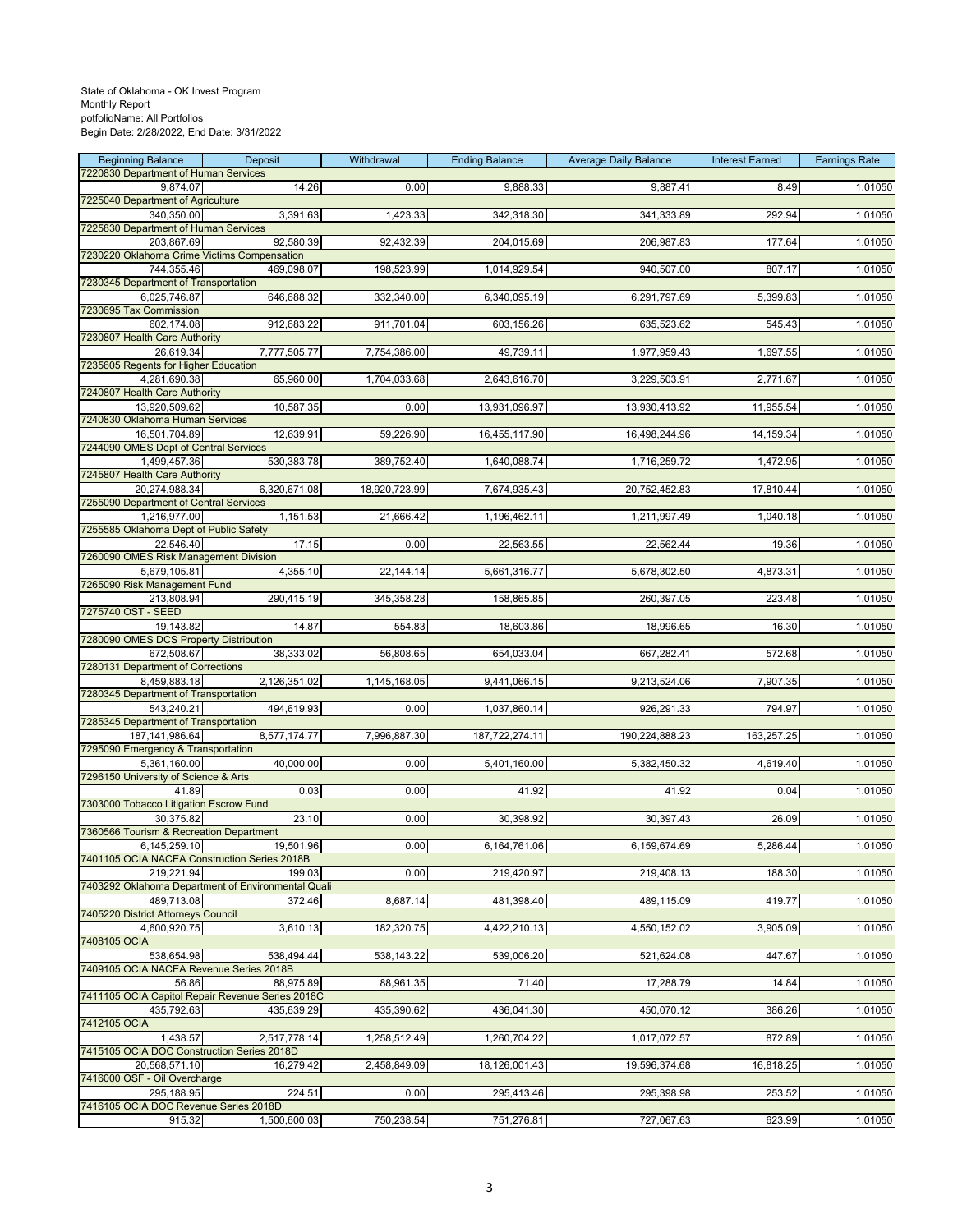| <b>Beginning Balance</b>                                  | Deposit                                            | Withdrawal    | <b>Ending Balance</b> | <b>Average Daily Balance</b> | <b>Interest Earned</b> | <b>Earnings Rate</b> |
|-----------------------------------------------------------|----------------------------------------------------|---------------|-----------------------|------------------------------|------------------------|----------------------|
| 7220830 Department of Human Services<br>9,874.07          | 14.26                                              | 0.00          | 9,888.33              | 9,887.41                     | 8.49                   | 1.01050              |
| 7225040 Department of Agriculture                         |                                                    |               |                       |                              |                        |                      |
| 340,350.00                                                | 3,391.63                                           | 1,423.33      | 342,318.30            | 341,333.89                   | 292.94                 | 1.01050              |
| 7225830 Department of Human Services                      | 92,580.39                                          | 92,432.39     | 204,015.69            |                              |                        | 1.01050              |
| 203,867.69<br>7230220 Oklahoma Crime Victims Compensation |                                                    |               |                       | 206,987.83                   | 177.64                 |                      |
| 744,355.46                                                | 469,098.07                                         | 198,523.99    | 1,014,929.54          | 940,507.00                   | 807.17                 | 1.01050              |
| 7230345 Department of Transportation                      |                                                    |               |                       |                              |                        |                      |
| 6,025,746.87<br>7230695 Tax Commission                    | 646,688.32                                         | 332,340.00    | 6,340,095.19          | 6,291,797.69                 | 5,399.83               | 1.01050              |
| 602,174.08                                                | 912,683.22                                         | 911,701.04    | 603,156.26            | 635,523.62                   | 545.43                 | 1.01050              |
| 7230807 Health Care Authority                             |                                                    |               |                       |                              |                        |                      |
| 26,619.34<br>7235605 Regents for Higher Education         | 7,777,505.77                                       | 7,754,386.00  | 49,739.11             | 1,977,959.43                 | 1,697.55               | 1.01050              |
| 4,281,690.38                                              | 65,960.00                                          | 1,704,033.68  | 2,643,616.70          | 3,229,503.91                 | 2,771.67               | 1.01050              |
| 7240807 Health Care Authority                             |                                                    |               |                       |                              |                        |                      |
| 13,920,509.62                                             | 10,587.35                                          | 0.00          | 13,931,096.97         | 13,930,413.92                | 11,955.54              | 1.01050              |
| 7240830 Oklahoma Human Services<br>16,501,704.89          | 12,639.91                                          | 59,226.90     | 16,455,117.90         | 16,498,244.96                | 14,159.34              | 1.01050              |
| 7244090 OMES Dept of Central Services                     |                                                    |               |                       |                              |                        |                      |
| 1,499,457.36                                              | 530, 383. 78                                       | 389,752.40    | 1,640,088.74          | 1,716,259.72                 | 1,472.95               | 1.01050              |
| 7245807 Health Care Authority<br>20,274,988.34            | 6,320,671.08                                       | 18,920,723.99 | 7,674,935.43          | 20,752,452.83                | 17,810.44              | 1.01050              |
| 7255090 Department of Central Services                    |                                                    |               |                       |                              |                        |                      |
| 1,216,977.00                                              | 1,151.53                                           | 21,666.42     | 1,196,462.11          | 1,211,997.49                 | 1,040.18               | 1.01050              |
| 7255585 Oklahoma Dept of Public Safety<br>22,546.40       | 17.15                                              | 0.00          | 22,563.55             |                              |                        | 1.01050              |
| 7260090 OMES Risk Management Division                     |                                                    |               |                       | 22,562.44                    | 19.36                  |                      |
| 5,679,105.81                                              | 4,355.10                                           | 22,144.14     | 5,661,316.77          | 5,678,302.50                 | 4,873.31               | 1.01050              |
| 7265090 Risk Management Fund                              |                                                    |               |                       |                              |                        |                      |
| 213,808.94<br>7275740 OST - SEED                          | 290,415.19                                         | 345,358.28    | 158,865.85            | 260,397.05                   | 223.48                 | 1.01050              |
| 19,143.82                                                 | 14.87                                              | 554.83        | 18,603.86             | 18,996.65                    | 16.30                  | 1.01050              |
| 7280090 OMES DCS Property Distribution                    |                                                    |               |                       |                              |                        |                      |
| 672,508.67<br>7280131 Department of Corrections           | 38,333.02                                          | 56,808.65     | 654,033.04            | 667,282.41                   | 572.68                 | 1.01050              |
| 8,459,883.18                                              | 2,126,351.02                                       | 1,145,168.05  | 9,441,066.15          | 9,213,524.06                 | 7,907.35               | 1.01050              |
| 7280345 Department of Transportation                      |                                                    |               |                       |                              |                        |                      |
| 543,240.21<br>7285345 Department of Transportation        | 494,619.93                                         | 0.00          | 1,037,860.14          | 926,291.33                   | 794.97                 | 1.01050              |
| 187, 141, 986. 64                                         | 8,577,174.77                                       | 7,996,887.30  | 187,722,274.11        | 190,224,888.23               | 163,257.25             | 1.01050              |
| 7295090 Emergency & Transportation                        |                                                    |               |                       |                              |                        |                      |
| 5,361,160.00                                              | 40,000.00                                          | 0.00          | 5,401,160.00          | 5,382,450.32                 | 4,619.40               | 1.01050              |
| 7296150 University of Science & Arts<br>41.89             | 0.03                                               | 0.00          | 41.92                 | 41.92                        | 0.04                   | 1.01050              |
| 7303000 Tobacco Litigation Escrow Fund                    |                                                    |               |                       |                              |                        |                      |
| 30,375.82                                                 | 23.10                                              | 0.00          | 30,398.92             | 30,397.43                    | 26.09                  | 1.01050              |
| 7360566 Tourism & Recreation Department<br>6,145,259.10   | 19,501.96                                          | 0.00          | 6,164,761.06          | 6,159,674.69                 | 5,286.44               | 1.01050              |
| 7401105 OCIA NACEA Construction Series 2018B              |                                                    |               |                       |                              |                        |                      |
| 219.221.94                                                | 199.03                                             | 0.00          | 219,420.97            | 219,408.13                   | 188.30                 | 1.01050              |
| 489,713.08                                                | 7403292 Oklahoma Department of Environmental Quali | 8,687.14      | 481,398.40            | 489,115.09                   | 419.77                 | 1.01050              |
| 7405220 District Attorneys Council                        | 372.46                                             |               |                       |                              |                        |                      |
| 4,600,920.75                                              | 3,610.13                                           | 182,320.75    | 4,422,210.13          | 4,550,152.02                 | 3,905.09               | 1.01050              |
| 7408105 OCIA                                              |                                                    |               |                       |                              |                        |                      |
| 538,654.98<br>7409105 OCIA NACEA Revenue Series 2018B     | 538,494.44                                         | 538,143.22    | 539,006.20            | 521,624.08                   | 447.67                 | 1.01050              |
| 56.86                                                     | 88,975.89                                          | 88,961.35     | 71.40                 | 17,288.79                    | 14.84                  | 1.01050              |
|                                                           | 7411105 OCIA Capitol Repair Revenue Series 2018C   |               |                       |                              |                        |                      |
| 435,792.63<br>7412105 OCIA                                | 435,639.29                                         | 435,390.62    | 436,041.30            | 450,070.12                   | 386.26                 | 1.01050              |
| 1,438.57                                                  | 2,517,778.14                                       | 1,258,512.49  | 1,260,704.22          | 1,017,072.57                 | 872.89                 | 1.01050              |
| 7415105 OCIA DOC Construction Series 2018D                |                                                    |               |                       |                              |                        |                      |
| 20,568,571.10                                             | 16,279.42                                          | 2,458,849.09  | 18,126,001.43         | 19,596,374.68                | 16,818.25              | 1.01050              |
| 7416000 OSF - Oil Overcharge<br>295,188.95                | 224.51                                             | 0.00          | 295,413.46            | 295,398.98                   | 253.52                 | 1.01050              |
| 7416105 OCIA DOC Revenue Series 2018D                     |                                                    |               |                       |                              |                        |                      |
| 915.32                                                    | 1,500,600.03                                       | 750,238.54    | 751,276.81            | 727,067.63                   | 623.99                 | 1.01050              |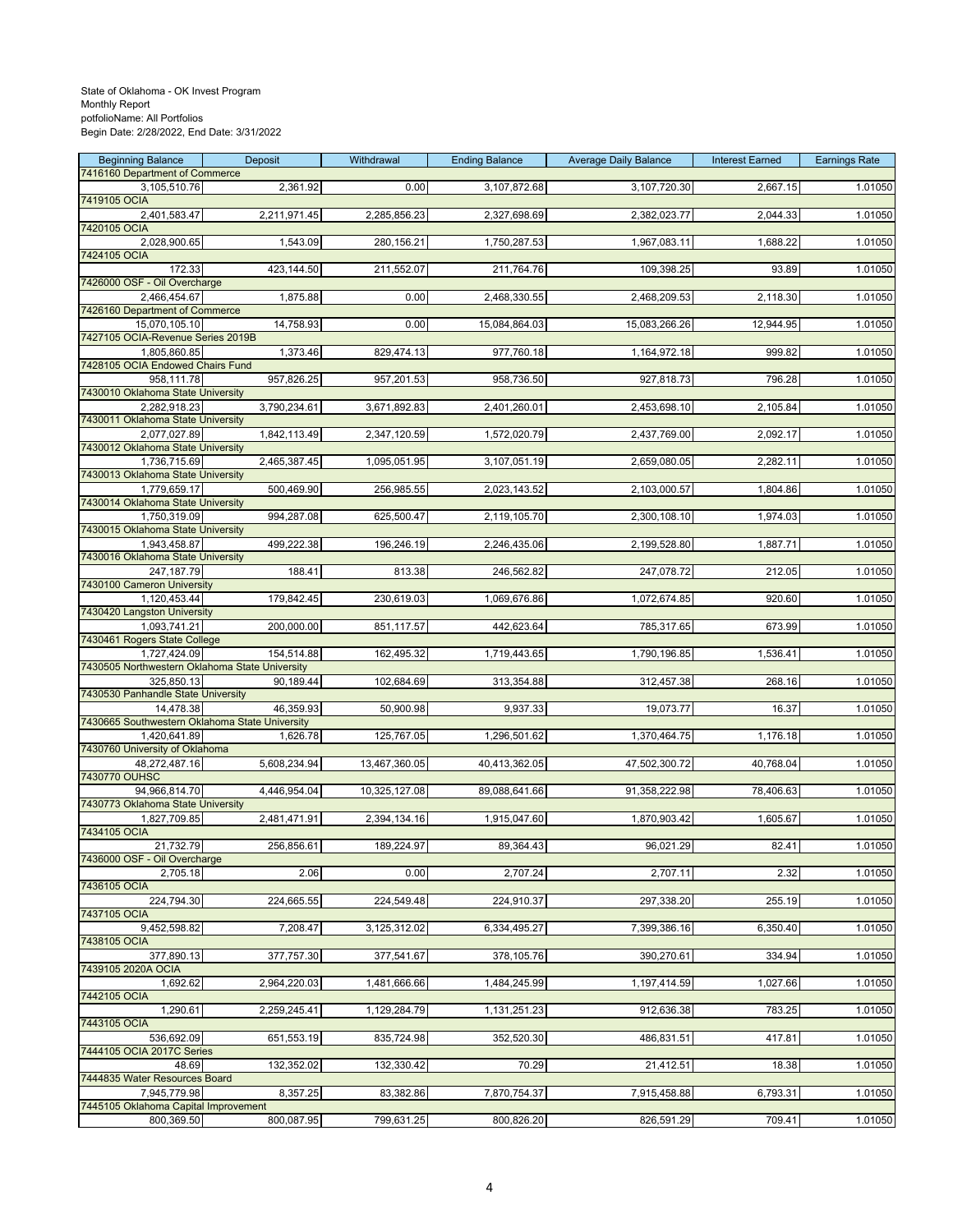| <b>Beginning Balance</b>                                       | Deposit      | Withdrawal    | <b>Ending Balance</b> | <b>Average Daily Balance</b> | <b>Interest Earned</b> | <b>Earnings Rate</b> |
|----------------------------------------------------------------|--------------|---------------|-----------------------|------------------------------|------------------------|----------------------|
| 7416160 Department of Commerce<br>3,105,510.76                 | 2,361.92     | 0.00          | 3,107,872.68          | 3,107,720.30                 | 2,667.15               | 1.01050              |
| 7419105 OCIA                                                   |              |               |                       |                              |                        |                      |
| 2,401,583.47                                                   | 2,211,971.45 | 2,285,856.23  | 2,327,698.69          | 2,382,023.77                 | 2,044.33               | 1.01050              |
| 7420105 OCIA                                                   |              |               |                       |                              |                        |                      |
| 2,028,900.65<br>7424105 OCIA                                   | 1,543.09     | 280,156.21    | 1,750,287.53          | 1,967,083.11                 | 1,688.22               | 1.01050              |
| 172.33                                                         | 423,144.50   | 211,552.07    | 211,764.76            | 109,398.25                   | 93.89                  | 1.01050              |
| 7426000 OSF - Oil Overcharge                                   |              |               |                       |                              |                        |                      |
| 2,466,454.67<br>7426160 Department of Commerce                 | 1,875.88     | 0.00          | 2,468,330.55          | 2,468,209.53                 | 2,118.30               | 1.01050              |
| 15,070,105.10                                                  | 14,758.93    | 0.00          | 15,084,864.03         | 15,083,266.26                | 12,944.95              | 1.01050              |
| 7427105 OCIA-Revenue Series 2019B                              |              |               |                       |                              |                        |                      |
| 1,805,860.85<br>7428105 OCIA Endowed Chairs Fund               | 1,373.46     | 829,474.13    | 977,760.18            | 1,164,972.18                 | 999.82                 | 1.01050              |
| 958,111.78                                                     | 957,826.25   | 957,201.53    | 958,736.50            | 927,818.73                   | 796.28                 | 1.01050              |
| 7430010 Oklahoma State University                              |              |               |                       |                              |                        |                      |
| 2,282,918.23                                                   | 3,790,234.61 | 3,671,892.83  | 2,401,260.01          | 2,453,698.10                 | 2,105.84               | 1.01050              |
| 7430011 Oklahoma State University<br>2,077,027.89              | 1,842,113.49 | 2,347,120.59  | 1,572,020.79          | 2,437,769.00                 | 2,092.17               | 1.01050              |
| 7430012 Oklahoma State University                              |              |               |                       |                              |                        |                      |
| 1,736,715.69                                                   | 2,465,387.45 | 1,095,051.95  | 3,107,051.19          | 2,659,080.05                 | 2,282.11               | 1.01050              |
| 7430013 Oklahoma State University<br>1,779,659.17              | 500,469.90   | 256,985.55    | 2,023,143.52          | 2,103,000.57                 | 1,804.86               | 1.01050              |
| 7430014 Oklahoma State University                              |              |               |                       |                              |                        |                      |
| 1,750,319.09                                                   | 994,287.08   | 625,500.47    | 2,119,105.70          | 2,300,108.10                 | 1,974.03               | 1.01050              |
| 7430015 Oklahoma State University<br>1,943,458.87              | 499,222.38   | 196,246.19    | 2,246,435.06          | 2,199,528.80                 | 1,887.71               | 1.01050              |
| 7430016 Oklahoma State University                              |              |               |                       |                              |                        |                      |
| 247,187.79                                                     | 188.41       | 813.38        | 246,562.82            | 247,078.72                   | 212.05                 | 1.01050              |
| 7430100 Cameron University                                     |              | 230,619.03    |                       |                              |                        |                      |
| 1,120,453.44<br>7430420 Langston University                    | 179,842.45   |               | 1,069,676.86          | 1,072,674.85                 | 920.60                 | 1.01050              |
| 1,093,741.21                                                   | 200,000.00   | 851,117.57    | 442,623.64            | 785,317.65                   | 673.99                 | 1.01050              |
| 7430461 Rogers State College                                   |              |               |                       |                              |                        |                      |
| 1,727,424.09<br>7430505 Northwestern Oklahoma State University | 154,514.88   | 162,495.32    | 1,719,443.65          | 1,790,196.85                 | 1,536.41               | 1.01050              |
| 325,850.13                                                     | 90,189.44    | 102,684.69    | 313,354.88            | 312,457.38                   | 268.16                 | 1.01050              |
| 7430530 Panhandle State University                             |              |               |                       |                              |                        |                      |
| 14,478.38<br>7430665 Southwestern Oklahoma State University    | 46,359.93    | 50,900.98     | 9,937.33              | 19,073.77                    | 16.37                  | 1.01050              |
| 1,420,641.89                                                   | 1,626.78     | 125,767.05    | 1,296,501.62          | 1,370,464.75                 | 1,176.18               | 1.01050              |
| 7430760 University of Oklahoma                                 |              |               |                       |                              |                        |                      |
| 48,272,487.16<br>7430770 OUHSC                                 | 5,608,234.94 | 13,467,360.05 | 40,413,362.05         | 47,502,300.72                | 40,768.04              | 1.01050              |
| 94,966,814.70                                                  | 4,446,954.04 | 10,325,127.08 | 89,088,641.66         | 91,358,222.98                | 78,406.63              | 1.01050              |
| 7430773 Oklahoma State University                              |              |               |                       |                              |                        |                      |
| 1,827,709.85                                                   | 2,481,471.91 | 2,394,134.16  | 1,915,047.60          | 1,870,903.42                 | 1,605.67               | 1.01050              |
| 7434105 OCIA<br>21,732.79                                      | 256,856.61   | 189,224.97    | 89,364.43             | 96,021.29                    | 82.41                  | 1.01050              |
| 7436000 OSF - Oil Overcharge                                   |              |               |                       |                              |                        |                      |
| 2,705.18                                                       | 2.06         | 0.00          | 2,707.24              | 2,707.11                     | 2.32                   | 1.01050              |
| 7436105 OCIA<br>224,794.30                                     | 224,665.55   | 224,549.48    | 224,910.37            | 297,338.20                   | 255.19                 | 1.01050              |
| 7437105 OCIA                                                   |              |               |                       |                              |                        |                      |
| 9,452,598.82                                                   | 7,208.47     | 3,125,312.02  | 6,334,495.27          | 7,399,386.16                 | 6,350.40               | 1.01050              |
| 7438105 OCIA<br>377,890.13                                     |              |               |                       |                              |                        | 1.01050              |
| 7439105 2020A OCIA                                             | 377,757.30   | 377,541.67    | 378,105.76            | 390,270.61                   | 334.94                 |                      |
| 1,692.62                                                       | 2,964,220.03 | 1,481,666.66  | 1,484,245.99          | 1,197,414.59                 | 1,027.66               | 1.01050              |
| 7442105 OCIA                                                   |              |               |                       |                              |                        |                      |
| 1,290.61<br>7443105 OCIA                                       | 2,259,245.41 | 1,129,284.79  | 1,131,251.23          | 912,636.38                   | 783.25                 | 1.01050              |
| 536,692.09                                                     | 651,553.19   | 835,724.98    | 352,520.30            | 486,831.51                   | 417.81                 | 1.01050              |
| 7444105 OCIA 2017C Series                                      |              |               |                       |                              |                        |                      |
| 48.69<br>7444835 Water Resources Board                         | 132,352.02   | 132,330.42    | 70.29                 | 21,412.51                    | 18.38                  | 1.01050              |
| 7,945,779.98                                                   | 8,357.25     | 83,382.86     | 7,870,754.37          | 7,915,458.88                 | 6,793.31               | 1.01050              |
| 7445105 Oklahoma Capital Improvement                           |              |               |                       |                              |                        |                      |
| 800,369.50                                                     | 800,087.95   | 799,631.25    | 800,826.20            | 826,591.29                   | 709.41                 | 1.01050              |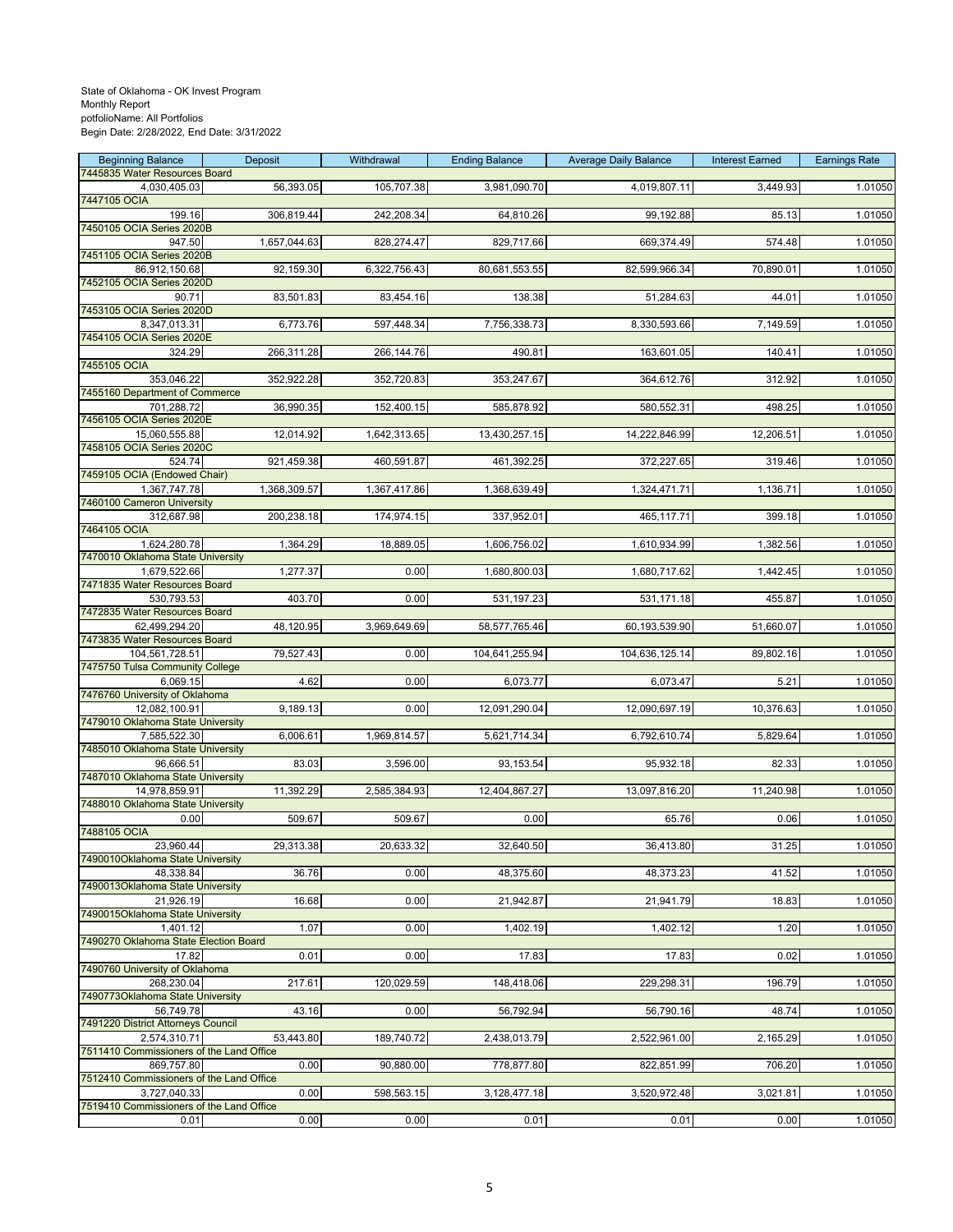| <b>Beginning Balance</b>                               | Deposit      | Withdrawal   | <b>Ending Balance</b> | <b>Average Daily Balance</b> | <b>Interest Earned</b> | <b>Earnings Rate</b> |
|--------------------------------------------------------|--------------|--------------|-----------------------|------------------------------|------------------------|----------------------|
| 7445835 Water Resources Board<br>4,030,405.03          | 56,393.05    | 105,707.38   | 3,981,090.70          | 4,019,807.11                 | 3,449.93               | 1.01050              |
| 7447105 OCIA                                           |              |              |                       |                              |                        |                      |
| 199.16                                                 | 306,819.44   | 242,208.34   | 64,810.26             | 99,192.88                    | 85.13                  | 1.01050              |
| 7450105 OCIA Series 2020B<br>947.50                    | 1,657,044.63 | 828,274.47   | 829,717.66            | 669,374.49                   | 574.48                 | 1.01050              |
| 7451105 OCIA Series 2020B                              |              |              |                       |                              |                        |                      |
| 86,912,150.68                                          | 92,159.30    | 6,322,756.43 | 80,681,553.55         | 82,599,966.34                | 70,890.01              | 1.01050              |
| 7452105 OCIA Series 2020D<br>90.71                     | 83,501.83    | 83,454.16    | 138.38                | 51,284.63                    | 44.01                  | 1.01050              |
| 7453105 OCIA Series 2020D                              |              |              |                       |                              |                        |                      |
| 8,347,013.31<br>7454105 OCIA Series 2020E              | 6,773.76     | 597,448.34   | 7,756,338.73          | 8,330,593.66                 | 7,149.59               | 1.01050              |
| 324.29                                                 | 266,311.28   | 266,144.76   | 490.81                | 163,601.05                   | 140.41                 | 1.01050              |
| 7455105 OCIA                                           |              |              |                       |                              |                        |                      |
| 353,046.22<br>7455160 Department of Commerce           | 352,922.28   | 352,720.83   | 353,247.67            | 364,612.76                   | 312.92                 | 1.01050              |
| 701,288.72                                             | 36,990.35    | 152,400.15   | 585,878.92            | 580,552.31                   | 498.25                 | 1.01050              |
| 7456105 OCIA Series 2020E                              |              |              |                       |                              |                        |                      |
| 15,060,555.88<br>7458105 OCIA Series 2020C             | 12,014.92    | 1,642,313.65 | 13,430,257.15         | 14,222,846.99                | 12,206.51              | 1.01050              |
| 524.74                                                 | 921,459.38   | 460,591.87   | 461,392.25            | 372,227.65                   | 319.46                 | 1.01050              |
| 7459105 OCIA (Endowed Chair)                           |              |              |                       |                              |                        |                      |
| 1,367,747.78<br>7460100 Cameron University             | 1,368,309.57 | 1,367,417.86 | 1,368,639.49          | 1,324,471.71                 | 1,136.71               | 1.01050              |
| 312,687.98                                             | 200,238.18   | 174,974.15   | 337,952.01            | 465,117.71                   | 399.18                 | 1.01050              |
| 7464105 OCIA<br>1.624.280.78                           | 1,364.29     | 18,889.05    | 1,606,756.02          | 1,610,934.99                 | 1,382.56               | 1.01050              |
| 7470010 Oklahoma State University                      |              |              |                       |                              |                        |                      |
| 1,679,522.66                                           | 1,277.37     | 0.00         | 1,680,800.03          | 1,680,717.62                 | 1,442.45               | 1.01050              |
| 7471835 Water Resources Board<br>530,793.53            | 403.70       | 0.00         | 531,197.23            | 531,171.18                   | 455.87                 | 1.01050              |
| 7472835 Water Resources Board                          |              |              |                       |                              |                        |                      |
| 62,499,294.20                                          | 48,120.95    | 3,969,649.69 | 58,577,765.46         | 60,193,539.90                | 51,660.07              | 1.01050              |
| 7473835 Water Resources Board<br>104,561,728.51        | 79,527.43    | 0.00         | 104,641,255.94        | 104,636,125.14               | 89,802.16              | 1.01050              |
| 7475750 Tulsa Community College                        |              |              |                       |                              |                        |                      |
| 6,069.15                                               | 4.62         | 0.00         | 6,073.77              | 6,073.47                     | 5.21                   | 1.01050              |
| 7476760 University of Oklahoma<br>12,082,100.91        | 9,189.13     | 0.00         | 12,091,290.04         | 12,090,697.19                | 10,376.63              | 1.01050              |
| 7479010 Oklahoma State University                      |              |              |                       |                              |                        |                      |
| 7,585,522.30<br>7485010 Oklahoma State University      | 6,006.61     | 1,969,814.57 | 5,621,714.34          | 6,792,610.74                 | 5,829.64               | 1.01050              |
| 96,666.51                                              | 83.03        | 3,596.00     | 93, 153.54            | 95,932.18                    | 82.33                  | 1.01050              |
| 7487010 Oklahoma State University                      |              |              |                       |                              |                        |                      |
| 14,978,859.91<br>7488010 Oklahoma State University     | 11,392.29    | 2,585,384.93 | 12,404,867.27         | 13,097,816.20                | 11,240.98              | 1.01050              |
| 0.00                                                   | 509.67       | 509.67       | 0.00                  | 65.76                        | 0.06                   | 1.01050              |
| 7488105 OCIA                                           |              |              |                       |                              |                        |                      |
| 23,960.44<br>7490010Oklahoma State University          | 29,313.38    | 20,633.32    | 32,640.50             | 36,413.80                    | 31.25                  | 1.01050              |
| 48.338.84                                              | 36.76        | 0.00         | 48,375.60             | 48,373.23                    | 41.52                  | 1.01050              |
| 7490013Oklahoma State University<br>21.926.19          |              |              |                       |                              |                        |                      |
| 7490015Oklahoma State University                       | 16.68        | 0.00         | 21,942.87             | 21,941.79                    | 18.83                  | 1.01050              |
| 1,401.12                                               | 1.07         | 0.00         | 1,402.19              | 1,402.12                     | 1.20                   | 1.01050              |
| 7490270 Oklahoma State Election Board                  |              |              |                       |                              | 0.02                   |                      |
| 17.82<br>7490760 University of Oklahoma                | 0.01         | 0.00         | 17.83                 | 17.83                        |                        | 1.01050              |
| 268,230.04                                             | 217.61       | 120,029.59   | 148,418.06            | 229,298.31                   | 196.79                 | 1.01050              |
| 7490773Oklahoma State University<br>56,749.78          | 43.16        | 0.00         | 56,792.94             | 56,790.16                    | 48.74                  | 1.01050              |
| 7491220 District Attorneys Council                     |              |              |                       |                              |                        |                      |
| 2,574,310.71                                           | 53,443.80    | 189,740.72   | 2,438,013.79          | 2,522,961.00                 | 2,165.29               | 1.01050              |
| 7511410 Commissioners of the Land Office<br>869,757.80 | 0.00         | 90,880.00    | 778,877.80            | 822,851.99                   | 706.20                 | 1.01050              |
| 7512410 Commissioners of the Land Office               |              |              |                       |                              |                        |                      |
| 3,727,040.33                                           | 0.00         | 598,563.15   | 3,128,477.18          | 3,520,972.48                 | 3,021.81               | 1.01050              |
| 7519410 Commissioners of the Land Office<br>0.01       | 0.00         | 0.00         | 0.01                  | 0.01                         | 0.00                   | 1.01050              |
|                                                        |              |              |                       |                              |                        |                      |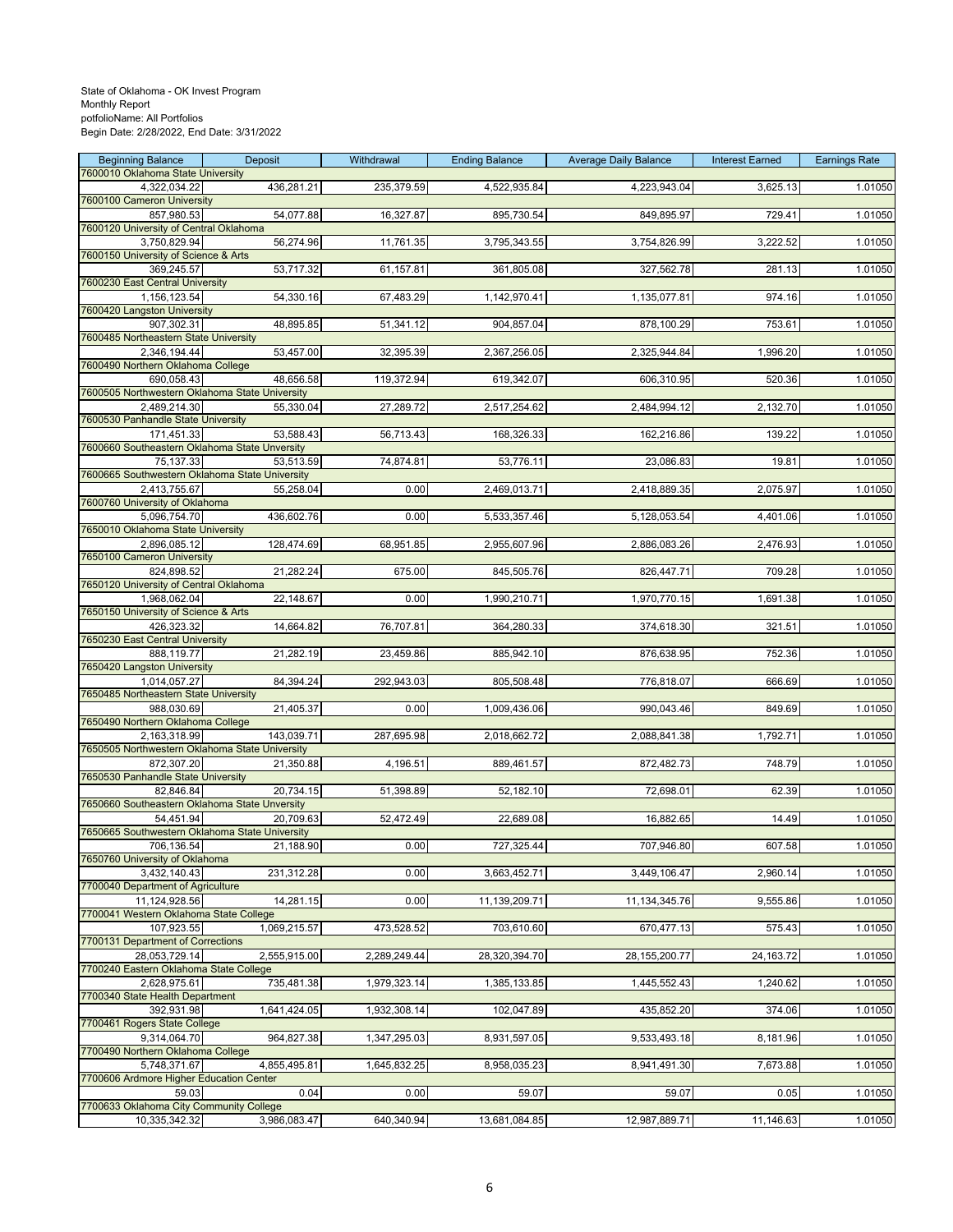| <b>Beginning Balance</b>                                     | Deposit      | Withdrawal   | <b>Ending Balance</b> | <b>Average Daily Balance</b> | <b>Interest Earned</b> | <b>Earnings Rate</b> |
|--------------------------------------------------------------|--------------|--------------|-----------------------|------------------------------|------------------------|----------------------|
| 7600010 Oklahoma State University<br>4,322,034.22            | 436,281.21   | 235,379.59   | 4,522,935.84          | 4,223,943.04                 | 3,625.13               | 1.01050              |
| 7600100 Cameron University                                   |              |              |                       |                              |                        |                      |
| 857,980.53                                                   | 54,077.88    | 16,327.87    | 895,730.54            | 849,895.97                   | 729.41                 | 1.01050              |
| 7600120 University of Central Oklahoma<br>3,750,829.94       | 56,274.96    | 11,761.35    | 3,795,343.55          | 3,754,826.99                 | 3,222.52               | 1.01050              |
| 7600150 University of Science & Arts                         |              |              |                       |                              |                        |                      |
| 369,245.57                                                   | 53,717.32    | 61,157.81    | 361,805.08            | 327,562.78                   | 281.13                 | 1.01050              |
| 7600230 East Central University<br>1,156,123.54              | 54,330.16    | 67,483.29    | 1,142,970.41          | 1,135,077.81                 | 974.16                 | 1.01050              |
| 7600420 Langston University                                  |              |              |                       |                              |                        |                      |
| 907,302.31                                                   | 48,895.85    | 51,341.12    | 904,857.04            | 878,100.29                   | 753.61                 | 1.01050              |
| 7600485 Northeastern State University<br>2,346,194.44        | 53,457.00    | 32,395.39    | 2,367,256.05          | 2,325,944.84                 | 1,996.20               | 1.01050              |
| 7600490 Northern Oklahoma College                            |              |              |                       |                              |                        |                      |
| 690,058.43<br>7600505 Northwestern Oklahoma State University | 48,656.58    | 119,372.94   | 619,342.07            | 606,310.95                   | 520.36                 | 1.01050              |
| 2,489,214.30                                                 | 55,330.04    | 27,289.72    | 2,517,254.62          | 2,484,994.12                 | 2,132.70               | 1.01050              |
| 7600530 Panhandle State University                           |              |              |                       |                              |                        |                      |
| 171,451.33<br>7600660 Southeastern Oklahoma State Unversity  | 53,588.43    | 56,713.43    | 168,326.33            | 162,216.86                   | 139.22                 | 1.01050              |
| 75,137.33                                                    | 53,513.59    | 74,874.81    | 53,776.11             | 23,086.83                    | 19.81                  | 1.01050              |
| 7600665 Southwestern Oklahoma State University               |              |              |                       |                              |                        |                      |
| 2,413,755.67<br>7600760 University of Oklahoma               | 55,258.04    | 0.00         | 2,469,013.71          | 2,418,889.35                 | 2,075.97               | 1.01050              |
| 5,096,754.70                                                 | 436,602.76   | 0.00         | 5,533,357.46          | 5,128,053.54                 | 4,401.06               | 1.01050              |
| 7650010 Oklahoma State University                            |              |              |                       |                              |                        |                      |
| 2,896,085.12<br>7650100 Cameron University                   | 128,474.69   | 68,951.85    | 2,955,607.96          | 2,886,083.26                 | 2,476.93               | 1.01050              |
| 824,898.52                                                   | 21,282.24    | 675.00       | 845,505.76            | 826,447.71                   | 709.28                 | 1.01050              |
| 7650120 University of Central Oklahoma                       |              |              |                       |                              |                        |                      |
| 1,968,062.04<br>7650150 University of Science & Arts         | 22,148.67    | 0.00         | 1,990,210.71          | 1,970,770.15                 | 1,691.38               | 1.01050              |
| 426,323.32                                                   | 14,664.82    | 76,707.81    | 364,280.33            | 374,618.30                   | 321.51                 | 1.01050              |
| 7650230 East Central University                              |              |              |                       |                              |                        |                      |
| 888,119.77<br>7650420 Langston University                    | 21,282.19    | 23,459.86    | 885,942.10            | 876,638.95                   | 752.36                 | 1.01050              |
| 1,014,057.27                                                 | 84,394.24    | 292,943.03   | 805,508.48            | 776,818.07                   | 666.69                 | 1.01050              |
| 7650485 Northeastern State University<br>988,030.69          | 21,405.37    | 0.00         | 1,009,436.06          | 990,043.46                   | 849.69                 | 1.01050              |
| 7650490 Northern Oklahoma College                            |              |              |                       |                              |                        |                      |
| 2,163,318.99                                                 | 143,039.71   | 287,695.98   | 2,018,662.72          | 2,088,841.38                 | 1,792.71               | 1.01050              |
| 7650505 Northwestern Oklahoma State University<br>872,307.20 | 21,350.88    | 4,196.51     | 889,461.57            | 872,482.73                   | 748.79                 | 1.01050              |
| 7650530 Panhandle State University                           |              |              |                       |                              |                        |                      |
| 82,846.84                                                    | 20,734.15    | 51,398.89    | 52,182.10             | 72,698.01                    | 62.39                  | 1.01050              |
| 7650660 Southeastern Oklahoma State Unversity<br>54,451.94   | 20,709.63    | 52,472.49    | 22,689.08             | 16,882.65                    | 14.49                  | 1.01050              |
| 7650665 Southwestern Oklahoma State University               |              |              |                       |                              |                        |                      |
| 706,136.54                                                   | 21,188.90    | 0.00         | 727,325.44            | 707,946.80                   | 607.58                 | 1.01050              |
| 7650760 University of Oklahoma<br>3,432,140.43               | 231,312.28   | 0.00         | 3,663,452.71          | 3,449,106.47                 | 2,960.14               | 1.01050              |
| 7700040 Department of Agriculture                            |              |              |                       |                              |                        |                      |
| 11,124,928.56<br>7700041 Western Oklahoma State College      | 14,281.15    | 0.00         | 11,139,209.71         | 11,134,345.76                | 9,555.86               | 1.01050              |
| 107,923.55                                                   | 1,069,215.57 | 473,528.52   | 703,610.60            | 670,477.13                   | 575.43                 | 1.01050              |
| 7700131 Department of Corrections                            |              |              |                       |                              |                        |                      |
| 28,053,729.14<br>7700240 Eastern Oklahoma State College      | 2,555,915.00 | 2,289,249.44 | 28,320,394.70         | 28, 155, 200. 77             | 24,163.72              | 1.01050              |
| 2,628,975.61                                                 | 735,481.38   | 1,979,323.14 | 1,385,133.85          | 1,445,552.43                 | 1,240.62               | 1.01050              |
| 7700340 State Health Department                              |              |              |                       |                              |                        |                      |
| 392,931.98<br>7700461 Rogers State College                   | 1,641,424.05 | 1,932,308.14 | 102,047.89            | 435,852.20                   | 374.06                 | 1.01050              |
| 9,314,064.70                                                 | 964,827.38   | 1,347,295.03 | 8,931,597.05          | 9,533,493.18                 | 8,181.96               | 1.01050              |
| 7700490 Northern Oklahoma College                            |              |              |                       |                              |                        |                      |
| 5,748,371.67<br>7700606 Ardmore Higher Education Center      | 4,855,495.81 | 1,645,832.25 | 8,958,035.23          | 8,941,491.30                 | 7,673.88               | 1.01050              |
| 59.03                                                        | 0.04         | 0.00         | 59.07                 | 59.07                        | 0.05                   | 1.01050              |
| 7700633 Oklahoma City Community College                      |              |              |                       |                              |                        |                      |
| 10,335,342.32                                                | 3,986,083.47 | 640,340.94   | 13,681,084.85         | 12,987,889.71                | 11,146.63              | 1.01050              |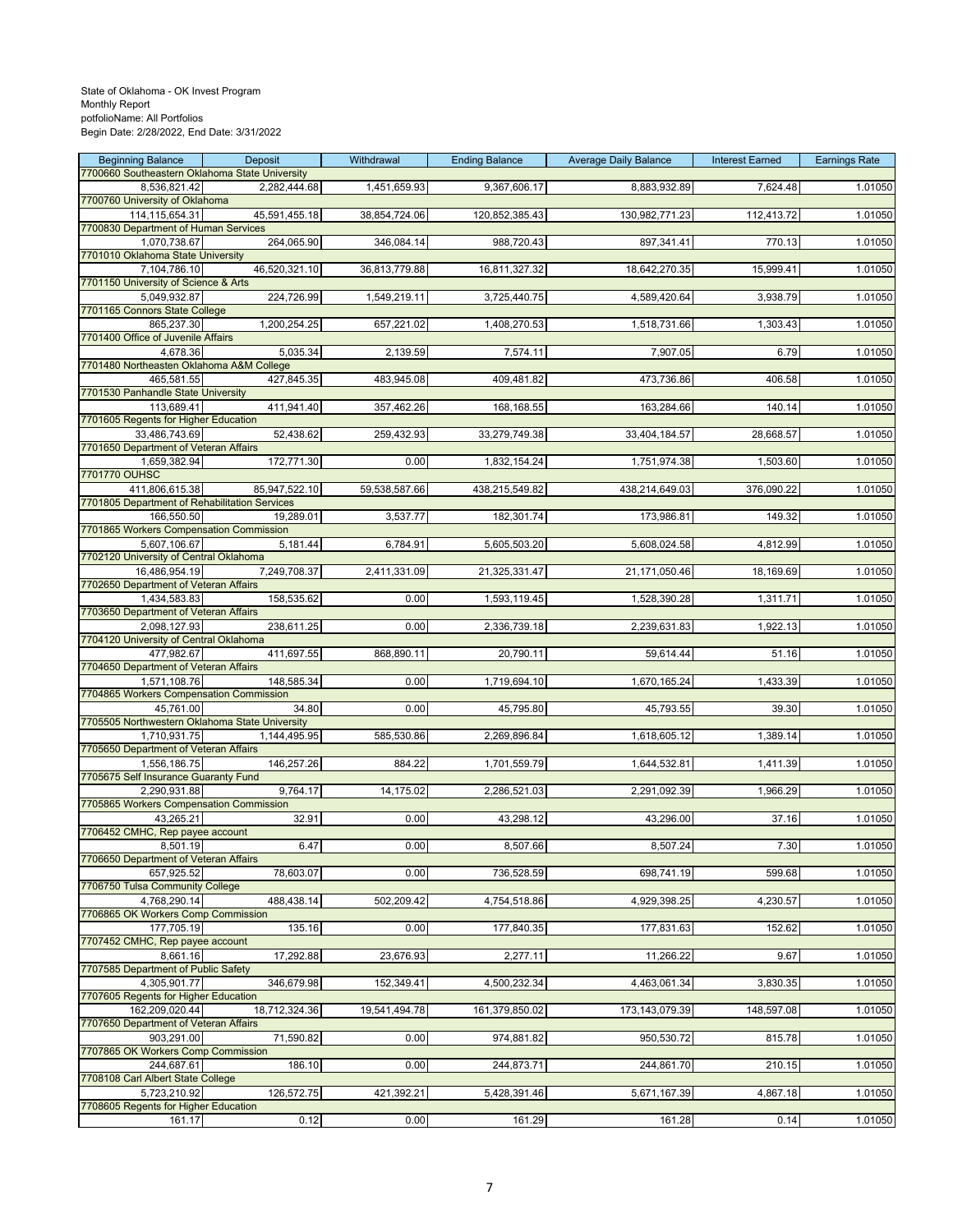| <b>Beginning Balance</b><br>Deposit                                            | Withdrawal    | <b>Ending Balance</b> | <b>Average Daily Balance</b> | <b>Interest Earned</b> | <b>Earnings Rate</b> |
|--------------------------------------------------------------------------------|---------------|-----------------------|------------------------------|------------------------|----------------------|
| 7700660 Southeastern Oklahoma State University<br>8,536,821.42<br>2,282,444.68 | 1,451,659.93  | 9,367,606.17          | 8,883,932.89                 | 7,624.48               | 1.01050              |
| 7700760 University of Oklahoma                                                 |               |                       |                              |                        |                      |
| 114,115,654.31<br>45,591,455.18                                                | 38,854,724.06 | 120,852,385.43        | 130,982,771.23               | 112,413.72             | 1.01050              |
| 7700830 Department of Human Services                                           |               |                       |                              |                        |                      |
| 264,065.90<br>1,070,738.67<br>7701010 Oklahoma State University                | 346,084.14    | 988,720.43            | 897,341.41                   | 770.13                 | 1.01050              |
| 7,104,786.10<br>46,520,321.10                                                  | 36,813,779.88 | 16,811,327.32         | 18,642,270.35                | 15,999.41              | 1.01050              |
| 7701150 University of Science & Arts                                           |               |                       |                              |                        |                      |
| 224,726.99<br>5,049,932.87<br>7701165 Connors State College                    | 1,549,219.11  | 3,725,440.75          | 4,589,420.64                 | 3,938.79               | 1.01050              |
| 865,237.30<br>1,200,254.25                                                     | 657,221.02    | 1,408,270.53          | 1,518,731.66                 | 1,303.43               | 1.01050              |
| 7701400 Office of Juvenile Affairs                                             |               |                       |                              |                        |                      |
| 4,678.36<br>5,035.34<br>7701480 Northeasten Oklahoma A&M College               | 2,139.59      | 7,574.11              | 7,907.05                     | 6.79                   | 1.01050              |
| 465,581.55<br>427,845.35                                                       | 483,945.08    | 409,481.82            | 473,736.86                   | 406.58                 | 1.01050              |
| 7701530 Panhandle State University                                             |               |                       |                              |                        |                      |
| 113,689.41<br>411,941.40                                                       | 357,462.26    | 168,168.55            | 163,284.66                   | 140.14                 | 1.01050              |
| 7701605 Regents for Higher Education<br>33,486,743.69<br>52,438.62             | 259,432.93    | 33,279,749.38         | 33,404,184.57                | 28,668.57              | 1.01050              |
| 7701650 Department of Veteran Affairs                                          |               |                       |                              |                        |                      |
| 172,771.30<br>1,659,382.94                                                     | 0.00          | 1,832,154.24          | 1,751,974.38                 | 1,503.60               | 1.01050              |
| 7701770 OUHSC<br>411,806,615.38<br>85,947,522.10                               | 59,538,587.66 | 438,215,549.82        | 438,214,649.03               | 376,090.22             | 1.01050              |
| 7701805 Department of Rehabilitation Services                                  |               |                       |                              |                        |                      |
| 166,550.50<br>19,289.01                                                        | 3,537.77      | 182,301.74            | 173,986.81                   | 149.32                 | 1.01050              |
| 7701865 Workers Compensation Commission                                        |               |                       |                              |                        |                      |
| 5,181.44<br>5,607,106.67<br>7702120 University of Central Oklahoma             | 6,784.91      | 5,605,503.20          | 5,608,024.58                 | 4,812.99               | 1.01050              |
| 7,249,708.37<br>16,486,954.19                                                  | 2,411,331.09  | 21,325,331.47         | 21,171,050.46                | 18,169.69              | 1.01050              |
| 7702650 Department of Veteran Affairs                                          |               |                       |                              |                        |                      |
| 158,535.62<br>1,434,583.83<br>7703650 Department of Veteran Affairs            | 0.00          | 1,593,119.45          | 1,528,390.28                 | 1,311.71               | 1.01050              |
| 238,611.25<br>2,098,127.93                                                     | 0.00          | 2,336,739.18          | 2,239,631.83                 | 1,922.13               | 1.01050              |
| 7704120 University of Central Oklahoma                                         |               |                       |                              |                        |                      |
| 477,982.67<br>411,697.55                                                       | 868,890.11    | 20,790.11             | 59,614.44                    | 51.16                  | 1.01050              |
| 7704650 Department of Veteran Affairs<br>1,571,108.76<br>148,585.34            | 0.00          | 1,719,694.10          | 1,670,165.24                 | 1,433.39               | 1.01050              |
| 7704865 Workers Compensation Commission                                        |               |                       |                              |                        |                      |
| 45,761.00<br>34.80                                                             | 0.00          | 45,795.80             | 45,793.55                    | 39.30                  | 1.01050              |
| 7705505 Northwestern Oklahoma State University<br>1,710,931.75<br>1,144,495.95 | 585,530.86    | 2,269,896.84          | 1,618,605.12                 | 1,389.14               | 1.01050              |
| 7705650 Department of Veteran Affairs                                          |               |                       |                              |                        |                      |
| 146,257.26<br>1,556,186.75                                                     | 884.22        | 1,701,559.79          | 1,644,532.81                 | 1,411.39               | 1.01050              |
| 7705675 Self Insurance Guaranty Fund<br>9,764.17<br>2.290.931.88               | 14,175.02     |                       |                              |                        |                      |
| 7705865 Workers Compensation Commission                                        |               | 2,286,521.03          | 2,291,092.39                 | 1,966.29               | 1.01050              |
| 43,265.21<br>32.91                                                             | 0.00          | 43,298.12             | 43,296.00                    | 37.16                  | 1.01050              |
| 7706452 CMHC, Rep payee account                                                |               |                       |                              |                        |                      |
| 6.47<br>8,501.19<br>7706650 Department of Veteran Affairs                      | 0.00          | 8,507.66              | 8,507.24                     | 7.30                   | 1.01050              |
| 657.925.52<br>78,603.07                                                        | 0.00          | 736,528.59            | 698,741.19                   | 599.68                 | 1.01050              |
| 7706750 Tulsa Community College                                                |               |                       |                              |                        |                      |
| 4,768,290.14<br>488,438.14<br>7706865 OK Workers Comp Commission               | 502,209.42    | 4,754,518.86          | 4,929,398.25                 | 4,230.57               | 1.01050              |
| 135.16<br>177,705.19                                                           | 0.00          | 177,840.35            | 177,831.63                   | 152.62                 | 1.01050              |
| 7707452 CMHC, Rep payee account                                                |               |                       |                              |                        |                      |
| 8,661.16<br>17,292.88                                                          | 23,676.93     | 2,277.11              | 11,266.22                    | 9.67                   | 1.01050              |
| 7707585 Department of Public Safety<br>4,305,901.77<br>346,679.98              | 152,349.41    | 4,500,232.34          | 4,463,061.34                 | 3,830.35               | 1.01050              |
| 7707605 Regents for Higher Education                                           |               |                       |                              |                        |                      |
| 162.209.020.44<br>18,712,324.36                                                | 19,541,494.78 | 161,379,850.02        | 173, 143, 079.39             | 148,597.08             | 1.01050              |
| 7707650 Department of Veteran Affairs<br>71,590.82<br>903,291.00               | 0.00          | 974,881.82            | 950,530.72                   | 815.78                 | 1.01050              |
| 7707865 OK Workers Comp Commission                                             |               |                       |                              |                        |                      |
| 186.10<br>244,687.61                                                           | 0.00          | 244,873.71            | 244,861.70                   | 210.15                 | 1.01050              |
| 7708108 Carl Albert State College                                              |               |                       |                              |                        |                      |
| 126,572.75<br>5,723,210.92<br>7708605 Regents for Higher Education             | 421,392.21    | 5,428,391.46          | 5,671,167.39                 | 4,867.18               | 1.01050              |
| 0.12<br>161.17                                                                 | 0.00          | 161.29                | 161.28                       | 0.14                   | 1.01050              |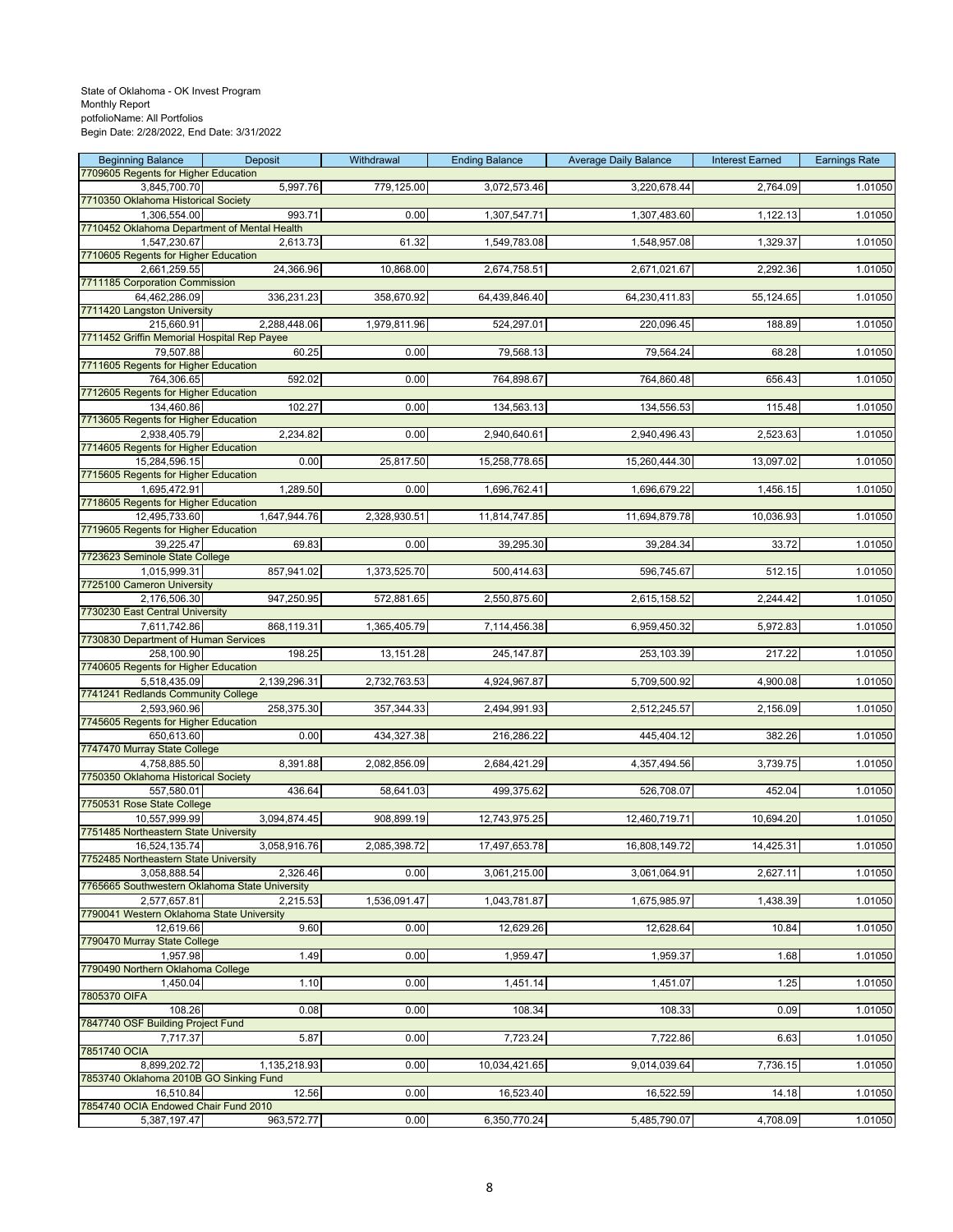| <b>Beginning Balance</b>                                     | Deposit      | Withdrawal   | <b>Ending Balance</b> | <b>Average Daily Balance</b> | <b>Interest Earned</b> | <b>Earnings Rate</b> |
|--------------------------------------------------------------|--------------|--------------|-----------------------|------------------------------|------------------------|----------------------|
| 7709605 Regents for Higher Education<br>3,845,700.70         | 5,997.76     | 779,125.00   | 3,072,573.46          | 3,220,678.44                 | 2,764.09               | 1.01050              |
| 7710350 Oklahoma Historical Society                          |              |              |                       |                              |                        |                      |
| 1,306,554.00                                                 | 993.71       | 0.00         | 1,307,547.71          | 1,307,483.60                 | 1,122.13               | 1.01050              |
| 7710452 Oklahoma Department of Mental Health<br>1,547,230.67 | 2,613.73     | 61.32        | 1,549,783.08          | 1,548,957.08                 | 1,329.37               | 1.01050              |
| 7710605 Regents for Higher Education                         |              |              |                       |                              |                        |                      |
| 2,661,259.55                                                 | 24,366.96    | 10,868.00    | 2,674,758.51          | 2,671,021.67                 | 2,292.36               | 1.01050              |
| 7711185 Corporation Commission<br>64,462,286.09              | 336,231.23   | 358,670.92   | 64,439,846.40         | 64,230,411.83                | 55,124.65              | 1.01050              |
| 7711420 Langston University                                  |              |              |                       |                              |                        |                      |
| 215,660.91                                                   | 2,288,448.06 | 1,979,811.96 | 524,297.01            | 220,096.45                   | 188.89                 | 1.01050              |
| 7711452 Griffin Memorial Hospital Rep Payee<br>79,507.88     | 60.25        | 0.00         | 79,568.13             | 79,564.24                    | 68.28                  | 1.01050              |
| 7711605 Regents for Higher Education                         |              |              |                       |                              |                        |                      |
| 764,306.65                                                   | 592.02       | 0.00         | 764,898.67            | 764,860.48                   | 656.43                 | 1.01050              |
| 7712605 Regents for Higher Education<br>134,460.86           | 102.27       | 0.00         | 134,563.13            | 134,556.53                   | 115.48                 | 1.01050              |
| 7713605 Regents for Higher Education                         |              |              |                       |                              |                        |                      |
| 2,938,405.79                                                 | 2,234.82     | 0.00         | 2,940,640.61          | 2,940,496.43                 | 2,523.63               | 1.01050              |
| 7714605 Regents for Higher Education<br>15,284,596.15        | 0.00         | 25,817.50    | 15,258,778.65         | 15,260,444.30                | 13,097.02              | 1.01050              |
| 7715605 Regents for Higher Education                         |              |              |                       |                              |                        |                      |
| 1,695,472.91                                                 | 1,289.50     | 0.00         | 1,696,762.41          | 1,696,679.22                 | 1,456.15               | 1.01050              |
| 7718605 Regents for Higher Education<br>12,495,733.60        | 1,647,944.76 | 2,328,930.51 | 11,814,747.85         | 11,694,879.78                | 10,036.93              | 1.01050              |
| 7719605 Regents for Higher Education                         |              |              |                       |                              |                        |                      |
| 39,225.47                                                    | 69.83        | 0.00         | 39,295.30             | 39,284.34                    | 33.72                  | 1.01050              |
| 7723623 Seminole State College                               |              |              |                       |                              |                        |                      |
| 1,015,999.31<br>7725100 Cameron University                   | 857,941.02   | 1,373,525.70 | 500,414.63            | 596,745.67                   | 512.15                 | 1.01050              |
| 2,176,506.30                                                 | 947,250.95   | 572,881.65   | 2,550,875.60          | 2,615,158.52                 | 2,244.42               | 1.01050              |
| 7730230 East Central University                              |              |              |                       |                              |                        |                      |
| 7,611,742.86<br>7730830 Department of Human Services         | 868,119.31   | 1,365,405.79 | 7,114,456.38          | 6,959,450.32                 | 5,972.83               | 1.01050              |
| 258,100.90                                                   | 198.25       | 13,151.28    | 245, 147.87           | 253,103.39                   | 217.22                 | 1.01050              |
| 7740605 Regents for Higher Education                         |              |              |                       |                              |                        |                      |
| 5,518,435.09<br>7741241 Redlands Community College           | 2,139,296.31 | 2,732,763.53 | 4,924,967.87          | 5,709,500.92                 | 4,900.08               | 1.01050              |
| 2,593,960.96                                                 | 258,375.30   | 357,344.33   | 2,494,991.93          | 2,512,245.57                 | 2,156.09               | 1.01050              |
| 7745605 Regents for Higher Education                         |              |              |                       |                              |                        |                      |
| 650,613.60<br>7747470 Murray State College                   | 0.00         | 434,327.38   | 216,286.22            | 445,404.12                   | 382.26                 | 1.01050              |
| 4,758,885.50                                                 | 8,391.88     | 2,082,856.09 | 2,684,421.29          | 4,357,494.56                 | 3,739.75               | 1.01050              |
| 7750350 Oklahoma Historical Society                          |              |              |                       |                              |                        |                      |
| 557,580.01<br>7750531 Rose State College                     | 436.64       | 58,641.03    | 499,375.62            | 526,708.07                   | 452.04                 | 1.01050              |
| 10.557.999.99                                                | 3,094,874.45 | 908,899.19   | 12,743,975.25         | 12,460,719.71                | 10,694.20              | 1.01050              |
| 7751485 Northeastern State University                        |              |              |                       |                              |                        |                      |
| 16,524,135.74<br>7752485 Northeastern State University       | 3,058,916.76 | 2,085,398.72 | 17,497,653.78         | 16,808,149.72                | 14,425.31              | 1.01050              |
| 3,058,888.54                                                 | 2,326.46     | 0.00         | 3,061,215.00          | 3,061,064.91                 | 2,627.11               | 1.01050              |
| 7765665 Southwestern Oklahoma State University               |              |              |                       |                              |                        |                      |
| 2,577,657.81<br>7790041 Western Oklahoma State University    | 2,215.53     | 1,536,091.47 | 1,043,781.87          | 1,675,985.97                 | 1,438.39               | 1.01050              |
| 12,619.66                                                    | 9.60         | 0.00         | 12,629.26             | 12,628.64                    | 10.84                  | 1.01050              |
| 7790470 Murray State College                                 |              |              |                       |                              |                        |                      |
| 1,957.98<br>7790490 Northern Oklahoma College                | 1.49         | 0.00         | 1,959.47              | 1,959.37                     | 1.68                   | 1.01050              |
| 1,450.04                                                     | 1.10         | 0.00         | 1,451.14              | 1,451.07                     | 1.25                   | 1.01050              |
| 7805370 OIFA                                                 |              |              |                       |                              |                        |                      |
| 108.26<br>7847740 OSF Building Project Fund                  | 0.08         | 0.00         | 108.34                | 108.33                       | 0.09                   | 1.01050              |
| 7,717.37                                                     | 5.87         | 0.00         | 7,723.24              | 7,722.86                     | 6.63                   | 1.01050              |
| 7851740 OCIA                                                 |              |              |                       |                              |                        |                      |
| 8,899,202.72<br>7853740 Oklahoma 2010B GO Sinking Fund       | 1,135,218.93 | 0.00         | 10,034,421.65         | 9,014,039.64                 | 7,736.15               | 1.01050              |
| 16,510.84                                                    | 12.56        | 0.00         | 16,523.40             | 16,522.59                    | 14.18                  | 1.01050              |
| 7854740 OCIA Endowed Chair Fund 2010                         |              |              |                       |                              |                        |                      |
| 5,387,197.47                                                 | 963,572.77   | 0.00         | 6,350,770.24          | 5,485,790.07                 | 4,708.09               | 1.01050              |